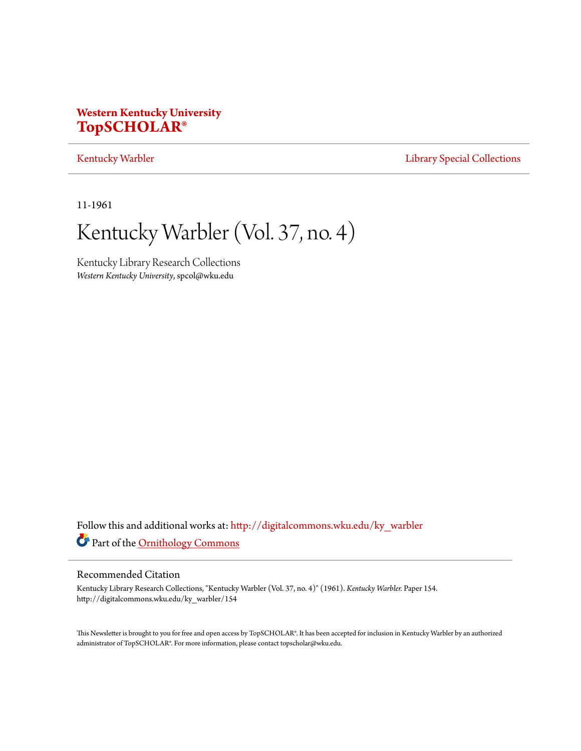# **Western Kentucky University [TopSCHOLAR®](http://digitalcommons.wku.edu?utm_source=digitalcommons.wku.edu%2Fky_warbler%2F154&utm_medium=PDF&utm_campaign=PDFCoverPages)**

# [Kentucky Warbler](http://digitalcommons.wku.edu/ky_warbler?utm_source=digitalcommons.wku.edu%2Fky_warbler%2F154&utm_medium=PDF&utm_campaign=PDFCoverPages) **[Library Special Collections](http://digitalcommons.wku.edu/dlsc?utm_source=digitalcommons.wku.edu%2Fky_warbler%2F154&utm_medium=PDF&utm_campaign=PDFCoverPages)**

11-1961

# Kentucky Warbler (Vol. 37, no. 4)

Kentucky Library Research Collections *Western Kentucky University*, spcol@wku.edu

Follow this and additional works at: [http://digitalcommons.wku.edu/ky\\_warbler](http://digitalcommons.wku.edu/ky_warbler?utm_source=digitalcommons.wku.edu%2Fky_warbler%2F154&utm_medium=PDF&utm_campaign=PDFCoverPages) Part of the [Ornithology Commons](http://network.bepress.com/hgg/discipline/1190?utm_source=digitalcommons.wku.edu%2Fky_warbler%2F154&utm_medium=PDF&utm_campaign=PDFCoverPages)

# Recommended Citation

Kentucky Library Research Collections, "Kentucky Warbler (Vol. 37, no. 4)" (1961). *Kentucky Warbler.* Paper 154. http://digitalcommons.wku.edu/ky\_warbler/154

This Newsletter is brought to you for free and open access by TopSCHOLAR®. It has been accepted for inclusion in Kentucky Warbler by an authorized administrator of TopSCHOLAR®. For more information, please contact topscholar@wku.edu.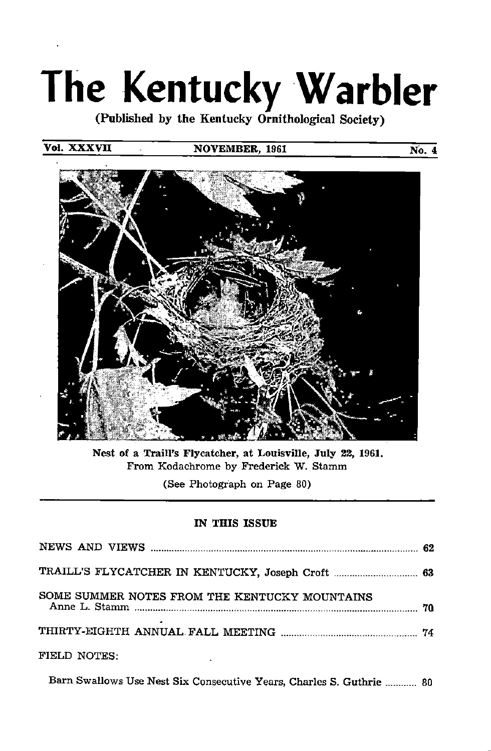# The Kentucky Warbler

(Published by the Kentucky Ornithological Society)

# Vol. XXXVII

# NOVEMBER, 1961 No. 4



Nest of a Train's Flycatcher, at Louisville, July 22, 1961. From Kodachrome by Frederick W. Stamm

(See Photograph on Page 80)

# IN THIS ISSUE

| TRAILL'S FLYCATCHER IN KENTUCKY, Joseph Croft  63 |  |
|---------------------------------------------------|--|
| SOME SUMMER NOTES FROM THE KENTUCKY MOUNTAINS     |  |
|                                                   |  |
| FIELD NOTES:                                      |  |

Barn Swallows Use Nest Six Consecutive Years, Charles S. Guthrie ............ 80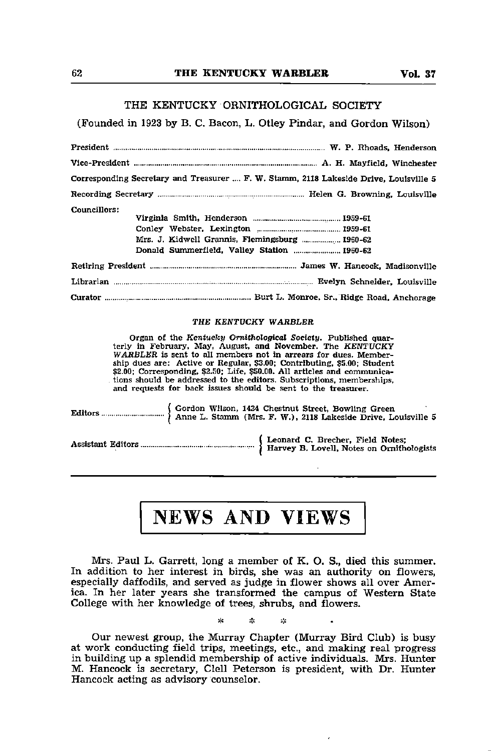## THE KENTUCKY ORNITHOLOGICAL SOCIETY

# (Founded in 1923 by B. C. Bacon, L. Otley Pindar, and Gordon Wilson)

President W. P. Hhoads, Henderson Vice-President A. H. Mayfield, Winchester Corresponding Secretary and Treasurer .... F. W. Stamm, 2118 Lakeside Drive, Louisville 5 Recording Secretary Helen G. Browning, Louisville Councillors: Virginia Smith, Henderson 1959-61 Conley Webster, Lexington 1959-61 Mrs. J. Kidwell Grannis, Flemingsburg ................. 1960-62 Donald Summerfield, Valley Station ..................... 1960-62 Retiring President James W. Hancock, Madisonville Librarian Evelyn Schneider. Louisville Curator Burt L. Monroe, Sr., Ridge Road, Anchorage

## THE KENTUCKY WARBLER

Organ of the Kentucky Ornithological Society. Published quarterly in February. May, August, and November. The KENTUCKY WARBLER is sent to all members not in arrears for dues. Member ship dues are: Active or Regular, \$3.00; Contributing. \$5.00; Student \$2.00; Corresponding, \$2.50; Life, \$50.00. All articles and communica tions should be addressed to the editors. Subscriptions, memberships, and requests for back issues should be sent to the treasurer.

Editors. Gordon Wilson, 1434 Chestnut Street. Bowling Green Anne L. Stamm (Mrs. F. W.), 2118 Lakeside Drive, Louisville 5

Assistant Editors. Leonard C. Brecher, Field Notes; Harvey B. Lovell, Notes on Ornithologists

# NEWS AND VIEWS

Mrs. Paul L. Garrett, long a member of K. O. S., died this summer. In addition to her interest in birds, she was an authority on flowers, especially daffodils, and served as judge in flower shows all over Amer ica. In her later years she transformed the campus of Western State College with her knowledge of trees, shrubs, and flowers.

ste

Our newest group, the Murray Chapter (Murray Bird Club) is busy at work conducting field trips, meetings, etc., and making real progress in building up a splendid membership of active individuals. Mrs. Hunter M. Hancock is secretary, Clell Peterson is president, with Dr. Hunter Hancock acting as advisory counselor.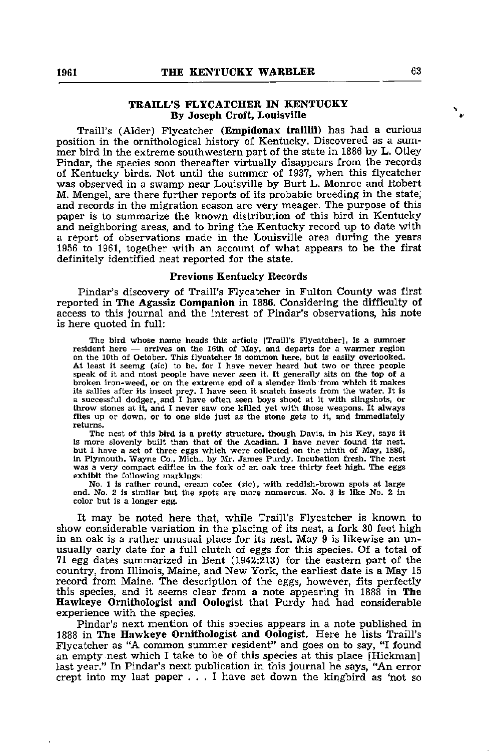# TRAILL'S FLYCATCHER IN KENTUCKY By Joseph Croft, Louisville

Traill's (Alder) Flycatcher (Empidonax traillii) has had a curious position in the ornithological history of Kentucky. Discovered as a sum mer bird in the extreme southwestern part of the state in 1886 by L. Otley Pindar, the species soon thereafter virtually disappears from the records of Kentucky birds. Not until the summer of 1937, when this flycatcher was observed in a swamp near Louisville by Burt L. Monroe and Robert M. Mengel, are there further reports of its probable breeding in the state, and records in the migration season are very meager. The purpose of this paper is to summarize the known distribution of this bird in Kentucky and neighboring areas, and to bring the Kentucky record up to date with a report of observations made in the Louisville area during the years 1956 to 1961, together with an account of what appears to be the first definitely identified nest reported for the state.

## Previous Kentucky Records

Pindar's discovery of Traill's Flycatcher in Fulton County was first reported in The Agassiz Companion in 1886. Considering the difficulty of access to this journal and the interest of Pindar's observations, his note is here quoted in full:

The bird whose name heads this article [Traill's Flycatcher!, is a summer resident here — arrives on the 16th of May, and departs for a warmer region on the 10th of October. This flycatcher is common here, but is easily overlooked. At least it seemg (sic) to be. for I have never heard but two or three people speak of it and most people have never seen it. It generally sits on the top of a broken iron-weed, or on the extreme end of <sup>a</sup> slender limb from which it makes its sallies after its insect prey. I have seen it snatch insects from the water. It is a successful dodger, and I have often seen boys shoot at it with slingshots, or throw stones at it, and I never saw one killed yet with those weapons. It always<br>flies up or down, or to one side just as the stone gets to it, and immediately returns.

The nest of this bird is a pretty structure, though Davis, in his Key, says it is more slovenly built than that of the Acadian. I have never found its nest, but I have a set of three eggs which were collected on the ninth of May, 1886, in Plymouth, Wayne Co., Mich., by Mr. James Purdy. Incubation fresh. The nest was a very compact edifice in the fork of an oak tree thirty feet high. The eggs exhibit the following markings:

No. 1 is rather round, cream coler (sic), with reddish-brown spots at large end. No. 2 is similar but the spots are more numerous. No. 3 is like No. 2 in color but is a longer egg.

It may be noted here that, while Traill's Flycatcher is known to show considerable variation in the placing of its nest, a fork 30 feet high in an oak is a rather unusual place for its nest. May 9 is likewise an un usually early date for a full clutch of eggs for this species. Of a total of 71 egg dates summarized in Bent (1942:213) for the eastern part of the country, from Illinois, Maine, and New York, the earliest date is a May 15 record from Maine. The description of the eggs, however, fits perfectly this species, and it seems clear from a note appearing in 1888 in The Hawkeye Ornithologist and Oologist that Purdy had had considerable experience with the species.

Pindar's next mention of this species appears in a note published in 1888 in The Hawkeye Ornithologist and Oologist. Here he lists Traill's Flycatcher as "A common summer resident" and goes on to say, "I found an empty nest which I take to be of this species at this place [Hickman] last year." In Pindar's next publication in this journal he says, "An error crept into my last paper ... <sup>I</sup> have set down the kingbird as 'not so

 $\mathbf{F}_{\mathbf{p}}$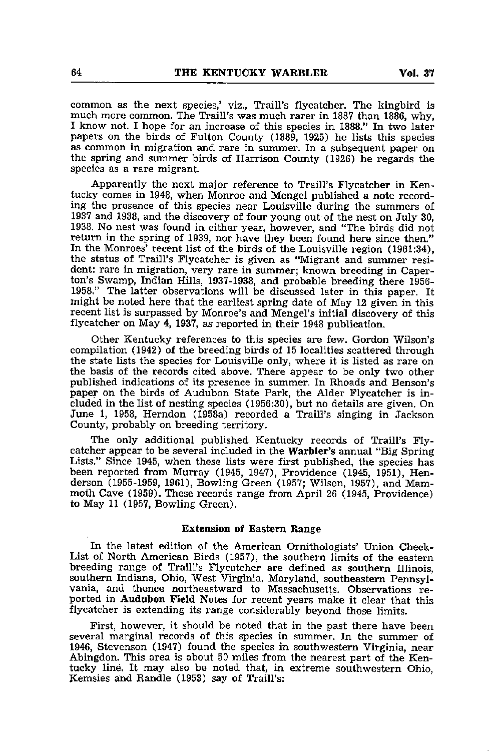common as the next species,' viz., Traill's flycatcher. The kingbird is much more common. The Traill's was much rarer in 1887 than 1886, why, I know not. I hope for an increase of this species in 1888." In two later papers on the birds of Fulton County (1889, 1925) he lists this species as common in migration and rare in summer. In a subsequent paper on the spring and summer birds of Harrison County (1926) he regards the species as a rare migrant.

Apparently the next major reference to Traill's Flycatcher in Ken tucky comes in 1948, when Monroe and Mengel published a note record ing the presence of this species near Louisville during the summers of 1937 and 1938, and the discovery of four young out of the nest on July 30, 1938. No nest was found in either year, however, and "The birds did not return in the spring of 1939, nor have they been found here since then." In the Monroes' recent list of the birds of the Louisville region (1961:34), the status of Traill's Flycatcher is given as "Migrant and summer resi dent: rare in migration, very rare in summer; known breeding in Caperton's Swamp, Indian Hills, 1937-1938, and probable breeding there 1956- 1958." The latter observations will be discussed later in this paper. It might be noted here that the earliest spring date of May 12 given in this recent list is surpassed by Monroe's and Mengel's initial discovery of this flycatcher on May 4, 1937, as reported in their 1948 publication.

Other Kentucky references to this species are few. Gordon Wilson's compilation (1942) of the breeding birds of 15 localities scattered through the state lists the species for Louisville only, where it is listed as rare on the basis of the records cited above. There appear to be only two other published indications of its presence in summer. In Rhoads and Benson's paper on the birds of Audubon State Park, the Alder Flycatcher is in cluded in the list of nesting species (1956:30), but no details are given. On June 1, 1958, Herndon (1958a) recorded a Traill's singing in Jackson County, probably on breeding territory.

The only additional published Kentucky records of Traill's Fly catcher appear to be several included in the Warbler's annual "Big Spring Lists." Since 1945, when these lists were first published, the species has been reported from Murray (1945, 1947), Providence (1945, 1951), Hen derson (1955-1959, 1961), Bowling Green (1957; Wilson, 1957), and Mam moth Cave (1959). These records range from April 26 (1945, Providence) to May 11 (1957, Bowling Green).

# Extension of Eastern Range

In the latest edition of the American Ornithologists' Union Check-List of North American Birds (1957), the southern limits of the eastern breeding range of Traill's Flycatcher are defined as southern Illinois, southern Indiana, Ohio, West Virginia, Maryland, southeastern Pennsyl vania, and thence northeastward to Massachusetts. Observations re ported in Audubon Field Notes for recent years make it clear that this flycatcher is extending its range considerably beyond those limits,

First, however, it should be noted that in the past there have been several marginal records of this species in summer. In the summer of 1946, Stevenson (1947) found the species in southwestern Virginia, near Abingdon. This area is about 50 miles from the nearest part of the Kentucky line. It may also be noted that, in extreme southwestern Ohio, Kemsies and Handle (1953) say of Traill's: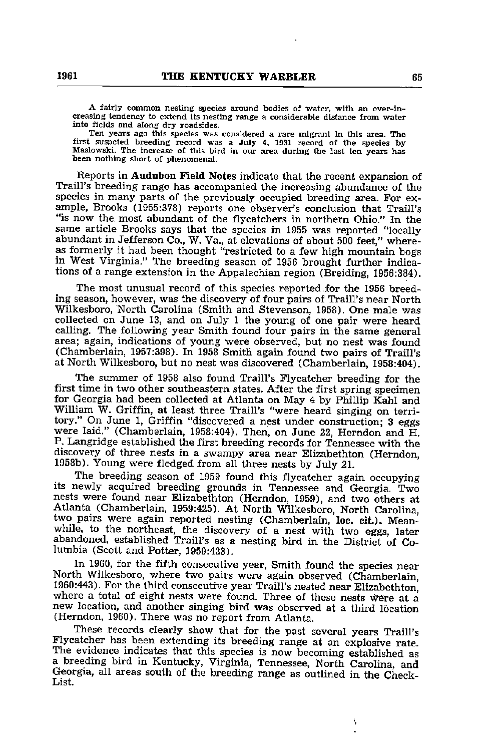A fairly common nesting species around bodies of water, with an ever-increasing tendency to extend its nesting range a considerable distance from water into fields and along dry roadsides.

Ten years ago this species was considered a rare migrant in this area. The first suspcted breeding record was a July 4. 1931 record of the species by Maslowski. The increase of this bird in our area during the last ten years has been nothing short of phenomenal.

Reports in Audubon Field Notes indicate that the recent expansion of Traill's breeding range has accompanied the increasing abundance of the species in many parts of the previously occupied breeding area. For ex ample, Brooks (1955:378) reports one observer's conclusion that Traill's "is now the most abundant of the flycatchers in northern Ohio." In the same article Brooks says that the species in 1955 was reported "locally abundant in Jefferson Co., W. Va., at elevations of about <sup>500</sup> feet," where as formerly it had been thought "restricted to a few high mountain bogs in West Virginia." The breeding season of 1956 brought further indica tions of a range extension in the Appalachian region (Breiding, 1956:384).

The most unusual record of this species reported for the 1956 breeding season, however, was the discovery of four pairs of Traill's near North Wilkesboro, North Carolina (Smith and Stevenson, 1958). One male was collected on June 13, and on July 1 the young of one pair were heard calling. The following year Smith found four pairs in the same general area; again, indications of young were observed, but no nest was found (Chamberlain, 1957:398). In 1958 Smith again found two pairs of Traill's at North Wilkesboro, but no nest was discovered (Chamberlain, 1958:404).

The summer of 1958 also found Traill's Flycatcher breeding for the first time in two other southeastern states. After the first spring specimen for Georgia had been collected at Atlanta on May 4 by Phillip Kahl and William W. Griffin, at least three Traill's "were heard singing on territory." On June 1, Griffin "discovered <sup>a</sup> nest under construction; <sup>3</sup> eggs were laid." (Chamberlain, 1958:404). Then, on June 22, Herndon and H. P. Langridge established the first breeding records for Tennessee with the discovery of three nests in a swampy area near Elizabethton (Herndon, 1958b). Young were fledged from all three nests by July 21.

The breeding season of <sup>1959</sup> found this flycatcher again occupying its newly acquired breeding grounds in Tennessee and Georgia. Two nests were found near Elizabethton (Herndon, 1959), and two others at Atlanta (Chamberlain, 1959:425). At North Wilkesboro, North Carolina, two pairs were again reported nesting (Chamberlain, loc. cit.). Meanwhile, to the northeast, the discovery of a nest with two eggs, later abandoned, established Traill's as a nesting bird in the District of Columbia (Scott and Potter, 1959:423).

In 1960, for the fifth consecutive year, Smith found the species near North Wilkesboro, where two pairs were again observed (Chamberlain, 1960:443). For the third consecutive year Traill's nested near Elizabethton, where a total of eight nests were found. Three of these nests were at a new location, and another singing bird was observed at a third location (Herndon, 1960). There was no report from Atlanta.

These records clearly show that for the past several years Traill's Flycatcher has been extending its breeding range at an explosive rate. The evidence indicates that this species is now becoming established as a breeding bird in Kentucky, Virginia, Tennessee, North Carolina, and Georgia, all areas south of the breeding range as outlined in the Check-List.

Ŋ,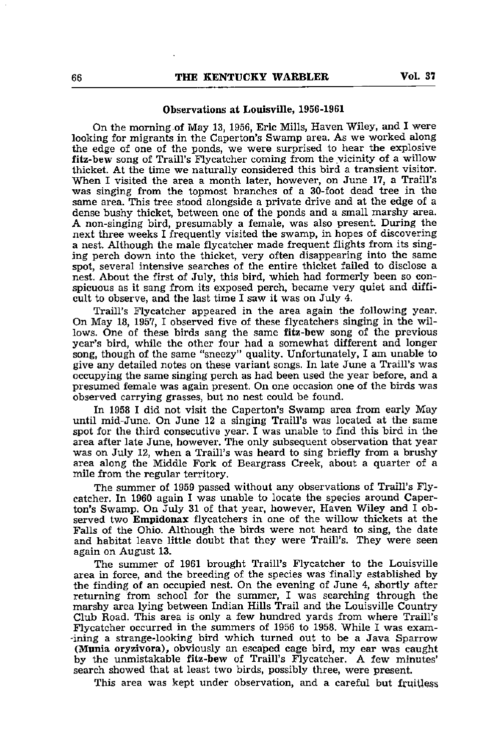# Observations at Louisville, 1956-1961

On the morning of May 13, 1956, Eric Mills, Haven Wiley, and I were looking for migrants in the Caperton's Swamp area. As we worked along the edge of one of the ponds, we were surprised to hear the explosive fitz-bew song of Traill's Flycatcher coming from the vicinity of a willow thicket. At the time we naturally considered this bird a transient visitor. When I visited the area a month later, however, on June 17, a Traill's was singing from the topmost branches of a 30-foot dead tree in the same area. This tree stood alongside a private drive and at the edge of a dense bushy thicket, between one of the ponds and a small marshy area. A non-singing bird, presumably a female, was also present. During the next three weeks I frequently visited the swamp, in hopes of discovering a nest. Although the male flycatcher made frequent flights from its sing ing perch down into the thicket, very often disappearing into the same spot, several intensive searches of the entire thicket failed to disclose a nest. About the first of July, this bird, which had formerly been so con spicuous as it sang from its exposed perch, became very quiet and diffi cult to observe, and the last time I saw it was on July 4.

Traill's Flycatcher appeared in the area again the following year. On May 18, 1957, I observed five of these flycatchers singing in the wil lows. One of these birds sang the same fitz-bew song of the previous year's bird, while the other four had a somewhat different and longer song, though of the same "sneezy" quality. Unfortunately, I am unable to give any detailed notes on these variant songs. In late June a Traill's was occupying the same singing perch as had been used the year before, and a presumed female was again present. On one occasion one of the birds was observed carrying grasses, but no nest could be found.

In 1958 I did not visit the Caperton's Swamp area from early May until mid-June. On June 12 a singing Traill's was located at the same spot for the third consecutive year. I was unable to find this bird in the area after late June, however. The only subsequent observation that year was on July 12, when a Traill's was heard to sing briefly from a brushy area along the Middle Fork of Beargrass Creek, about a quarter of a mile from the regular territory.

The summer of 1959 passed without any observations of Traill's Flycatcher. In 1960 again I was unable to locate the species around Caper ton's Swamp. On July 31 of that year, however. Haven Wiley and I ob served two Empidonax flycatchers in one of the willow thickets at the Falls of the Ohio. Although the birds were not heard to sing, the date and habitat leave little doubt that they were Traill's. They were seen again on August 13.

The summer of 1961 brought Traill's Flycatcher to the Louisville area in force, and the breeding of the species was finally established by the finding of an occupied nest. On the evening of June 4, shortly after returning from school for the summer, I was searching through the marshy area lying between Indian Hills Trail and the Louisville Country Club Road. This area is only a few hundred yards from where Traill's Flycatcher occurred in the summers of 1956 to 1958. While I was exam- -ining a strange-looking bird which turned out to be a Java Sparrow (Munia oryzivora), obviously an escaped cage bird, my ear was caught by the unmistakable fitz-bew of Traill's Flycatcher. A few minutes' search showed that at least two birds, possibly three, were present.

This area was kept under observation, and a careful but fruitless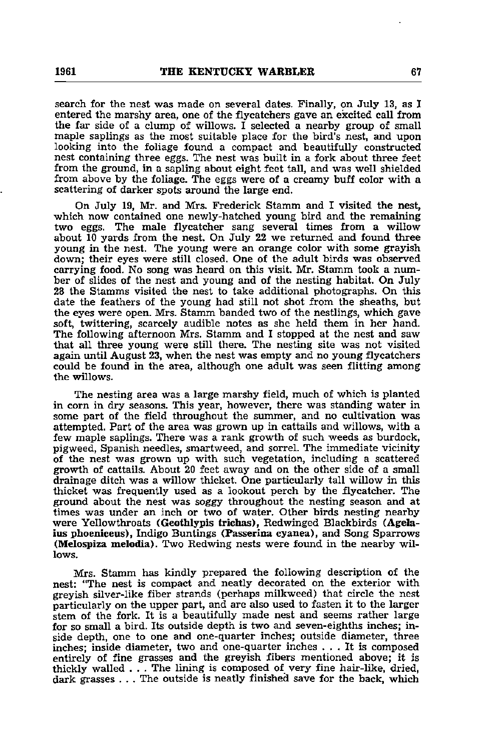search for the nest was made on several dates. Finally, on July 13, as I entered the marshy area, one of the flycatchers gave an excited call from the far side of a clump of willows. I selected a nearby group of small maple saplings as the most suitable place for the bird's nest, and upon looking into the foliage found a compact and beautifully constructed nest containing three eggs. The nest was built in a fork about three feet from the ground, in a sapling about eight feet tall, and was well shielded from above by the foliage. The eggs were of a creamy buff color with a scattering of darker spots around the large end.

On July 19, Mr. and Mrs. Frederick Stamm and I visited the nest, which now contained one newly-hatched young bird and the remaining two eggs. The male flycatcher sang several times from a willow about 10 yards from the nest. On July 22 we retvurned and found three young in the nest. The young were an orange color with some grayish down; their eyes were still closed. One of the adult birds was observed carrying food. No song was heard on this visit. Mr. Stamm took a num ber of slides of the nest and young and of the nesting habitat. On July 28 the Stamms visited the nest to take additional photographs. On this date the feathers of the young had still not shot from the sheaths, but the eyes were open. Mrs. Stamm banded two of the nestlings, which gave soft, twittering, scarcely audible notes as she held them in her hand. The following afternoon Mrs. Stamm and I stopped at the nest and saw that all three young were still there. The nesting site was not visited again until August 23, when the nest was empty and no young flycatchers could be found in the area, although one adult was seen flitting among the willows.

The nesting area was a large marshy field, much of which is planted in corn in dry seasons. This year, however, there was standing water in some part of the field throughout the summer, and no cultivation was attempted. Part of the area was grown up in cattails and willows, with a few maple saplings. There was a rank growth of such weeds as burdock, pigweed, Spanish needles, smartweed, and sorrel. The immediate vicinity of the nest was grown up with such vegetation, including a scattered growth of cattails. About 20 feet away and on the other side of a small drainage ditch was a willow thicket. One particularly tall willow in this thicket was frequently used as a lookout perch by the flycatcher. The ground about the nest was soggy throughout the nesting season and at times was under an inch or two of water. Other birds nesting nearby were Yellowthroats (Geothlypis trichas), Redwinged Blackbirds (Agelaius phoeniceus), Indigo Buntings (Passerina cyanea), and Song Sparrows (Melospiza melodia). Two Redwing nests were found in the nearby wil lows.

Mrs. Stamm has kindly prepared the following description of the nest: "The nest is compact and neatly decorated on the exterior with greyish silver-like fiber strands (perhaps milkweed) that circle the nest particularly on the upper part, and are also used to fasten it to the larger stem of the fork. It is a beautifully made nest and seems rather large for so small a bird. Its outside depth is two and seven-eighths inches; in side depth, one to one and one-quarter inches; outside diameter, three inches; inside diameter, two and one-quarter inches ... It is composed entirely of fine grasses and the greyish fibers mentioned above; it is thickly walled . . . The lining is composed of very fine hair-like, dried, dark grasses . . . The outside is neatly finished save for the back, which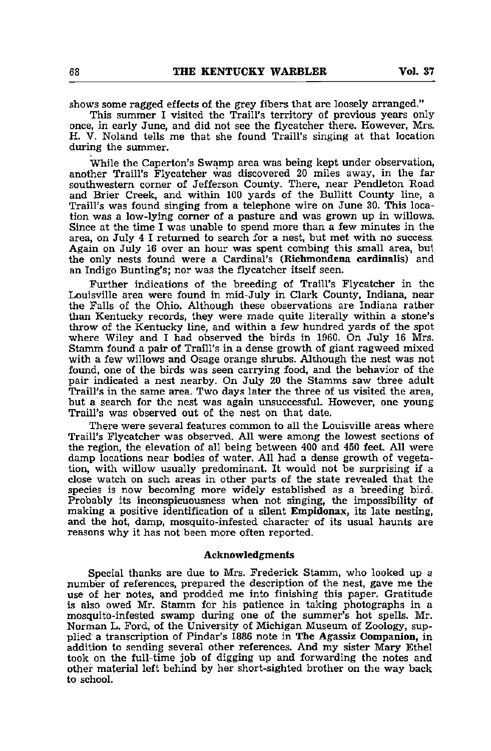shows some ragged effects of the grey fibers that are loosely arranged."

This summer I visited the Traill's territory of previous years only once, in early June, and did not see the flycatcher there. However, Mrs. H. V. Noland tells me that she found Traill's singing at that location during the summer.

While the Caperton's Swamp area was being kept under observation, another Traill's Flycatcher was discovered 20 miles away, in the far southwestern corner of Jefferson County. There, near Pendleton Road and Brier Creek, and within 100 yards of the Bullitt County line, a Traill's was found singing from a telephone wire on June 30. This location was a low-lying corner of a pasture and was grown up in willows. Since at the time I was unable to spend more than a few minutes in the area, on July 4 I returned to search for a nest, but met with no success. Again on July 16 over an hour was spent combing this small area, bul the only nests found were a Cardinal's (Kichmondena cardinalis) and an Indigo Bunting's; nor was the flycatcher itself seen.

Further indications of the breeding of Traill's Flycatcher in the Louisville area were found in mid-July in Clark County, Indiana, near the Falls of the Ohio. Although these observations are Indiana rather than Kentucky records, they were made quite literally within a stone's throw of the Kentucky line, and within a few hundred yards of the spot where Wiley and I had observed the birds in 1960. On July 16 Mrs. Stamm found a pair of Traill's in a dense growth of giant ragweed mixed with a few willows and Osage orange shrubs. Although the nest was not found, one of the birds was seen carrying food, and the behavior of the pair indicated a nest nearby. On July 20 the Stamms saw three adult Traill's in the same area. Two days later the three of us visited the area, but a search for the nest was again unsuccessful. However, one young Traill's was observed out of the nest on that date.

There were several features common to all the Louisville areas where Traill's Flycatcher was observed. All were among the lowest sections of the region, the elevation of all being between 400 and 450 feet. All were damp locations near bodies of water. All had a dense growth of vegeta tion, with willow usually predominant. It would not be surprising if a close watch on such areas in other parts of the state revealed that the species is now becoming more widely established as a breeding bird. Probably its inconspicuousness when not singing, the impossibility of making a positive identification of a silent Empidonax, its late nesting, and the hot, damp, mosquito-infested character of its usual haunts are reasons why it has not been more often reported.

# Acknowledgments

Special thanks are due to Mrs. Frederick Stamm, who looked up a number of references, prepared the description of the nest, gave me the use of her notes, and prodded me into finishing this paper. Gratitude is also owed Mr. Stamm for his patience in taking photographs in a mosquito-infested swamp during one of the summer's hot spells. Mr. Norman L. Ford, of the University of Michigan Museum of Zoology, supplied a transcription of Pindar's 1886 note in The Agassiz Companion, in addition to sending several other references. And my sister Mary Ethel took on the full-time job of digging up and forwarding the notes and other material left behind by her short-sighted brother on the way back to school.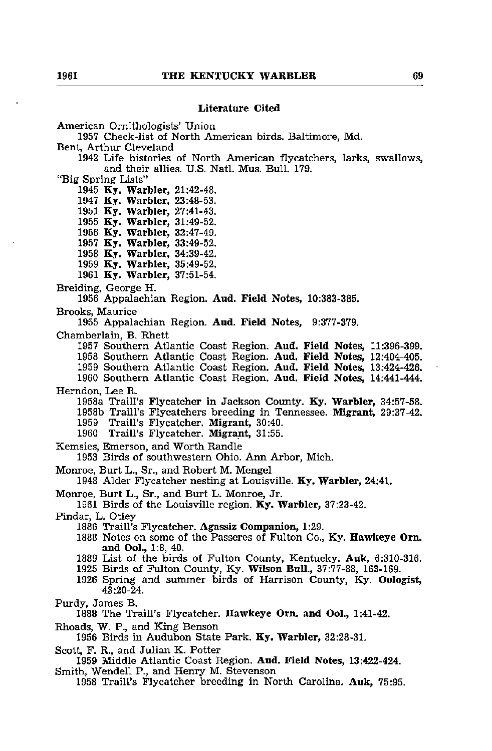# Literature Cited

American Ornithologists' Union

1957 Check-list of North American birds. Baltimore, Md.

Bent, Arthur Cleveland

1942 Life histories of North American flycatchers, larks, swallows, and their allies. U.S. Natl. Mus. Bull. 179.

"Big Spring Lists"

1945 Ky. Warbler, 21:42-48.

1947 Ky. Warbler, 23:48-53.

1951 Ky. Warbler, 27:41-43.

1955 Ky. Warbler, 31:49-52.

1956 Ky. Warbler, 32:47-49. 1957 Ky. Warbler, 33:49-52.

1958 Ky. Warbler, 34:39-42.

1959 Ky. Warbler, 35:49-52.

1961 Ky. Warbler, 37:51-54.

Breiding, George H.

1956 Appalachian Region. Aud. Field Notes, 10:383-385. Brooks, Maurice

1955 Appalachian Region. Aud. Field Notes, 9:377-379.

Chamberlain, B. Rhett

1957 Southern Atlantic Coast Region. Aud. Field Notes, 11:396-399.

1958 Southern Atlantic Coast Region. Aud. Field Notes, 12:404-405.

1959 Southern Atlantic Coast Region. Aud. Field Notes, 13:424-426.

1960 Southern Atlantic Coast Region. Aud. Field Notes, 14:441-444. Herndon, Lee R.

1958a Traill's Flycatcher in Jackson County. Ky. Warbler, 34:57-58.

1958b Traill's Flycatchers breeding in Tennessee. Migrant, 29:37-42. 1959 Traill's Flycatcher. Migrant, 30:40.

1960 Traill's Flycatcher. Migrant, 31:55.

Kemsies, Emerson, and Worth Randle

1953 Birds of southwestern Ohio. Ann Arbor, Mich.

Monroe, Burt L., Sr., and Robert M. Mengel

1948 Alder Flycatcher nesting at Louisville. Ky. Warbler, 24:41.

Monroe, Burt L., Sr., and Burt L. Monroe, Jr.

1961 Birds of the Louisville region. Ky. Warbler, 37:23-42.

Pindar, L. Otley

1886 Train's Flycatcher. Agassiz Companion, 1:29.

1888 Notes on some of the Passeres of Fulton Co., Ky. Hawkeye Om. and Ool., 1:8, 40.

1889 List of the birds of Fulton County, Kentucky. Auk, 6:310-316.

1925 Birds of Fulton County, Ky. Wilson BuU., 37:77-88, 163-169.

1926 Spring and summer birds of Harrison County, Ky. Oologist, 43:20-24.

Purdy, James B.

1888 The Traill's Flycatcher. Hawkeye Orn. and Ool., 1:41-42.

Rhoads, W. P., and King Benson

1956 Birds in Audubon State Park. Ky. Warbler, 32:28-31.

Scott, F. R., and Julian K. Potter

1959 Middle Atlantic Coast Region. Aud. Field Notes, 13:422-424. Smith, Wendell P., and Henry M. Stevenson

1958 Traill's Flycatcher breeding in North Carolina. Auk, 75:95.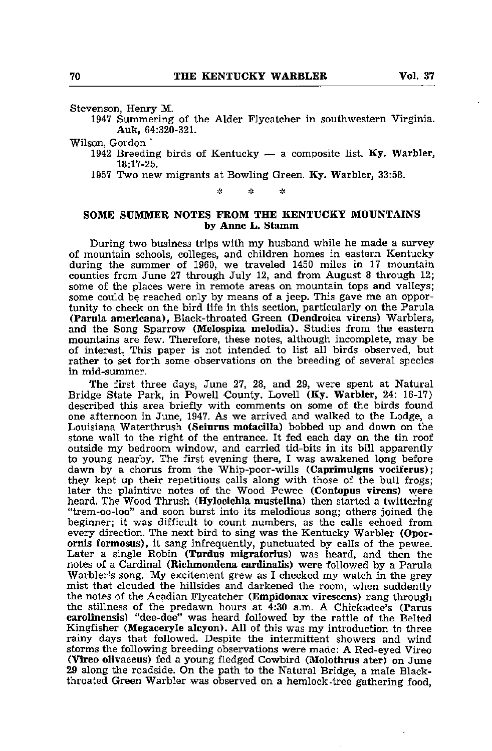Stevenson, Henry M.

1947 Summering of the Alder Flycatcher in southwestern Virginia. Auk, 64:320-321.

### Wilson, Gordon

- 1942 Breeding birds of Kentucky  $-$  a composite list. Ky. Warbler, 18:17-25.
- 1957 Two new migrants at Bowling Green. Ky. Warbler, 33:58.

ż. ير sk.

# SOME SUMMER NOTES FROM THE KENTUCKY MOUNTAINS by Anne L. Stamm

During two business trips with my husband while he made a survey of mountain schools, colleges, and children homes in eastern Kentucky during the summer of 1960, we traveled 1450 miles in 17 mountain counties from June 27 through July 12, and from August 8 through 12; some of the places were in remote areas on mountain tops and valleys; some could be reached only by means of a jeep. This gave me an oppor tunity to check on the bird life in this section, particularly on the Parula (Parula americana), Black-throated Green (Dendroica virens) Warblers, and the Song Sparrow (Melospiza melodia). Studies from the eastern mountains are few. Therefore, these notes, although incomplete, may be of interest. This paper is not intended to list all birds observed, but rather to set forth some observations on the breeding of several species in mid-summer.

The first three days, June 27, 28, and 29, were spent at Natural Bridge State Park, in Powell County. Lovell (Ky. Warbler, 24: 16-17) described this area briefly with comments on some of the birds found one afternoon in June, 1947. As we arrived and walked to the Lodge, a Louisiana Waterthrush (Seiurus motacilla) bobbed up and down on the stone wall to the right of the entrance. It fed each day on the tin roof outside my bedroom window, and carried tid-bits in its bill apparently to young nearby. The first evening there, I was awakened long before dawn by a chorus from the Whip-poor-wills (Caprimulgus vociferus); they kept up their repetitious calls along with those of the bull frogs; later the plaintive notes of the Wood Pewee (Contopus virens) were heard. The Wood Thrush (Hylocichla mustelina) then started a twittering "trem-oo-loo" and soon burst into its melodious song; others joined the beginner; it was difficult to count numbers, as the calls echoed from every direction. The next bird to sing was the Kentucky Warbler (Oporornis formosus), it sang infrequently, punctuated by calls of the pewee. Later a single Robin (Turdus migratorius) was heard, and then the notes of a Cardinal (Richmondena cardinalis) were followed by a Parula Warbler's song. My excitement grew as I checked my watch in the grey mist that clouded the hillsides and darkened the room, when suddently the notes of the Acadian Flycatcher (Empidonax virescens) rang through the stillness of the predawn hours at 4:30 a.m. A Chickadee's (Parus carolinensis) "dee-dee" was heard followed by the rattle of the Belted Kingfisher (Megaceryle aleyon). All of this was my introduction to three rainy days that followed. Despite the intermittent showers and wind storms the following breeding observations were made: A Red-eyed Vireo (Vireo ollvaceus) fed a young fledged Cowbird (Molothrus ater) on June 29 along the roadside. On the path to the Natural Bridge, a male Blackthroated Green Warbler was observed on a hemlock -tree gathering food,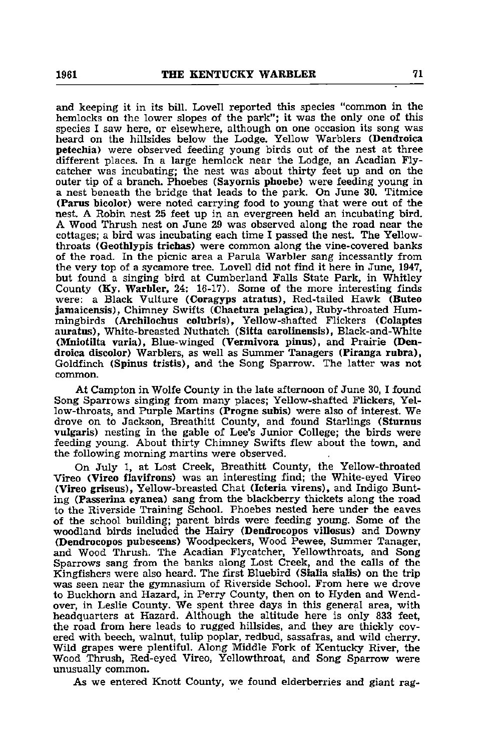and keeping it in its bill. Lovell reported this species "common in the hemlocks on the lower slopes of the park"; it was the only one of this species I saw here, or elsewhere, although on one occasion its song was heard on the hillsides below the Lodge. Yellow Warblers (Dendroica petechia) were observed feeding young birds out of the nest at three different places. In a large hemlock near the Lodge, an Acadian Fly catcher was incubating; the nest was about thirty feet up and on the outer tip of a branch. Phoebes (Sayornis phoebe) were feeding young in a nest beneath the bridge that leads to the park. On June 30. Titmice (Parus bicolor) were noted carrying food to young that were out of the nest. A Robin nest 25 feet up in an evergreen held an incubating bird. A Wood Thrush nest on Jime 29 was observed along the road near the cottages; a bird was incubating each time I passed the nest. The Yellowthroats (Geothlypis trichas) were common along the vine-covered banks of the road. In the picnic area a Parula Warbler sang incessantly from the very top of a sycamore tree. Lovell did not find it here in June, 1947, but found a singing bird at Cumberland Falls State Park, in Whitley County (Ky. Warbler, 24: 16-17). Some of the more interesting finds were: a Black Vulture (Coragyps atratus), Red-tailed Hawk (Buteo jamaicensis), Chimney Swifts (Chaetura pelagica), Ruby-throated Hum mingbirds (Archilochus colubris), Yellow-shafted Flickers (Colaptes auratus), White-breasted Nuthatch (Sitta carolinensis), Black-and-White (Mniotilta varia), Blue-winged (Vermivora pinus), and Prairie (Den droica discolor) Warblers, as well as Summer Tanagers (Piranga rubra), Goldfinch (Spinus tristis), and the Song Sparrow. The latter was not common.

At Campton in Wolfe County in the late afternoon of June 30, I found Song Sparrows singing from many places; Yellow-shafted Flickers, Yel low-throats, and Purple Martins (Progne subis) were also of interest. We drove on to Jackson, Breathitt County, and found Starlings (Sturnus vulgaris) nesting in the gable of Lee's Junior College; the birds were feeding young. About thirty Chimney Swifts flew about the town, and the following morning martins were observed.

On July 1, at Lost Creek, Breathitt County, the Yellow-throated Vireo (Vireo flavifrons) was an interesting find; the White-eyed Vireo (Vireo griseus), Yellow-breasted Chat (Icteria virens), and Indigo Bunting (Passerina cyanea) sang from the blackberry thickets along the road to the Riverside Training School. Phoebes nested here under the eaves of the school building; parent birds were feeding young. Some of the woodland birds included the Hairy (Dendrocopos villosus) and Downy (Dendrocopos pubescens) Woodpeckers, Wood Pewee, Summer Tanager, and Wood Thrush. The Acadian Flycatcher, Yellowthroats, and Song Sparrows sang from the banks along Lost Creek, and the calls of the Kingfishers were also heard. The first Bluebird (Sialia sialis) on the trip was seen near the gymnasium of Riverside School. From here we drove to Buckhorn and Hazard, in Perry County, then on to Hyden and Wendover, in Leslie County. We spent three days in this general area, with headquarters at Hazard. Although the altitude here is only 833 feet, the road from here leads to rugged hillsides, and they are thickly cov ered with beech, walnut, tulip poplar, redbud, sassafras, and wild cherry. Wild grapes were plentiful. Along Middle Fork of Kentucky River, the Wood Thrush, Red-eyed Vireo, Yellowthroat, and Song Sparrow were unusually common.

As we entered Knott County, we found elderberries and giant rag-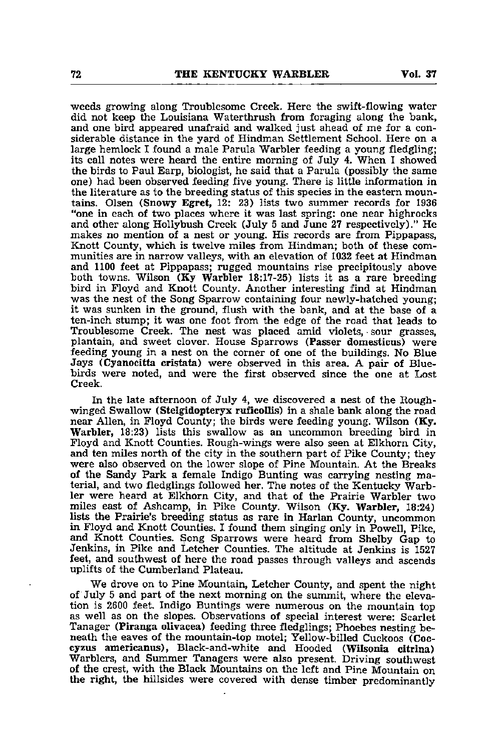weeds growing along Troublesome Creek. Here the swift-flowing water did not keep the Louisiana Waterthrush from foraging along the bank, and one bird appeared unafraid and walked just ahead of me for a con siderable distance in the yard of Hindman Settlement School. Here on a large hemlock I found a male Parula Warbler feeding a young fledgling; its call notes were heard the entire morning of July 4. When I showed the birds to Paul Earp, biologist, he said that a Parula (possibly the same one) had been observed feeding five young. There is little information in the literature as to the breeding status of this species in the eastern moun tains. Olsen (Snowy Egret, 12: 23) lists two summer records for 1936 "one in each of two places where it was last spring: one near highrocks and other along Hollybush Creek (July 5 and June 27 respectively)." He makes no mention of a nest or young. His records are from Pippapass, Knott County, which is twelve miles from Hindman; both of these com munities are in narrow valleys, with an elevation of 1032 feet at Hindman and 1100 feet at Pippapass; rugged mountains rise precipitously above both towns. Wilson (Ky Warbler 18:17-25) lists it as a rare breeding bird in Floyd and Knott County. Another interesting find at Hindman was the nest of the Song Sparrow containing four newly-hatched young; it was sunken in the ground, flush with the bank, and at the base of a ten-inch stump; it was one foot from the edge of the road that leads to Troublesome Creek. The nest was placed amid violets, -sour grasses, plantain, and sweet clover. House Sparrows (Passer domesticus) were feeding young in a nest on the corner of one of the buildings. No Blue Jays (Cyanocitta cristata) were observed in this area. A pair of Blue birds were noted, and were the first observed since the one at Lost Creek.

In the late afternoon of July 4, we discovered a nest of the Roughwinged Swallow (Stelgidopteryx ruficollis) in a shale bank along the road near Allen, in Floyd County; the birds were feeding young. Wilson (Ky. Warbler, 18:23) lists this swallow as an uncommon breeding bird in Floyd and Knott Counties. Rough-wings were also seen at Elkhorn City, and ten miles north of the city in the southern part of Pike County; they were also observed on the lower slope of Pine Mountain. At the Breaks of the Sandy Park a female Indigo Bunting was carrying nesting maof the Sandy Park <sup>a</sup> female Indigo Bunting was carrying nesting ma terial, and two fledglings followed her. The notes of the Kentucky Warb ler were heard at Elkhorn City, and that of the Prairie Warbler two miles east of Ashcamp, in Pike County. Wilson (Ky. Warbler, 18:24) lists the Prairie's breeding status as rare in Harlan County, uncommon in Floyd and Knott Counties. I found them singing only in Powell, Pike, and Knott Counties. Song Sparrows were heard from Shelby Gap to Jenkins, in Pike and Letcher Counties. The altitude at Jenkins is 1527 feet, and southwest of here the road passes through valleys and ascends uplifts of the Cumberland Plateau.

We drove on to Pine Mountain, Letcher County, and spent the night of July 5 and part of the next morning on the summit, where the elevation is 2600 feet. Indigo Buntings were numerous on the mountain top as well as on the slopes. Observations of special interest were: Scarlet Tanager (Piranga ollvacea) feeding three fledglings; Phoebes nesting be neath the eaves of the mountain-top motel; Yellow-billed Cuckoos (Coccyzus americanus), Black-and-white and Hooded (Wilsonia citrina) Warblers, and Summer Tanagers were also present. Driving southwest of the crest, with the Black Mountains on the left and Pine Mountain on the right, the hillsides were covered with dense timber predominantly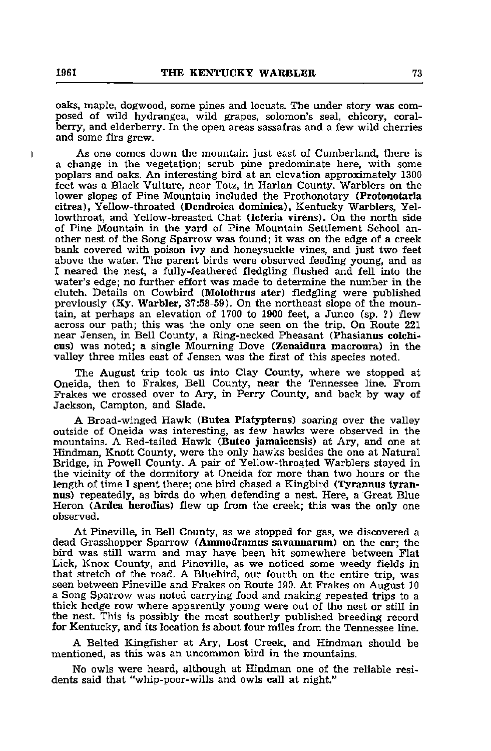oaks, maple, dogwood, some pines and locusts. The under story was com posed of wild hydrangea, wild grapes, solomon's seal, chicory, coralberry, and elderberry. In the open areas sassafras and a few wild cherries and some firs grew.

As one comes down the mountain just east of Cumberland, there is a change in the vegetation; scrub pine predominate here, with some poplars and oaks. An interesting bird at an elevation approximately 1300 feet was a Black Vulture, near Totz, in Harlan County. Warblers on the lower slopes of Pine Mountain included the Prothonotary (Protonotaria citrea). Yellow-throated (Dendroica dominica), Kentucky Warblers, Yellowthroat, and Yellow-breasted Chat (Icteria virens). On the north side of Pine Mountain in the yard of Pine Mountain Settlement School an other nest of the Song Sparrow was found; it was on the edge of a creek bank covered with poison ivy and honeysuckle vines, and just two feet above the water. The parent birds were observed feeding young, and as I neared the nest, a fully-feathered fledgling flushed and fell into the water's edge; no further effort was made to determine the number in the clutch. Details on Cowbird (Molothrus ater) fledgling were published previously (Ky. Warbler, 37:58-59). On the northeast slope of the moun tain, at perhaps an elevation of 1700 to 1900 feet, a Junco (sp. ?) flew across our path; this was the only one seen on the trip. On Route 221 near Jensen, in Bell County, a Ring-necked Pheasant (Phasianus colchicus) was noted; a single Mourning Dove (Zenaidura macroura) in the valley three miles east of Jensen was the first of this species noted.

The August trip took us into Clay County, where we stopped at Oneida, then to Frakes, Bell County, near the Tennessee line. From Frakes we crossed over to Ary, in Perry County, and back by way of Jackson, Campton, and Slade.

A Broad-winged Hawk (Butea Platypterus) soaring over the valley outside of Oneida was interesting, as few hawks were observed in the mountains. A Red-tailed Hawk (Buteo jamaicensis) at Ary, and one at Hindman, Knott County, were the only hawks besides the one at Natural Bridge, in Powell County. A pair of Yellow-throated Warblers stayed in the vicinity of the dormitory at Oneida for more than two hours or the length of time I spent there; one bird chased a Kingbird (Tyrannus tyrannus) repeatedly, as birds do when defending a nest. Here, a Great Blue Heron (Ardea herodias) flew up from the creek; this was the only one observed.

At Pineville, in Bell County, as we stopped for gas, we discovered a dead Grasshopper Sparrow (Ammodramus savannarum) on the car; the bird was still warm and may have been hit somewhere between Flat Lick, Knox County, and Pineville, as we noticed some weedy fields in that stretch of the road. A Bluebird, our fourth on the entire trip, was seen between Pineville and Frakes on Route 190. At Frakes on August 10 a Song Sparrow was noted carrying food and making repeated trips to a thick hedge row where apparently young were out of the nest or still in the nest. This is possibly the most southerly published breeding record for Kentucky, and its location is about four miles from the Tennessee line.

A Belted Kingfisher at Ary, Lost Creek, and Hindman should be mentioned, as this was an uncommon bird in the mountains.

No owls were heard, although at Hindman one of the reliable resi dents said that "whip-poor-wills and owls call at night."

 $\mathbf{I}$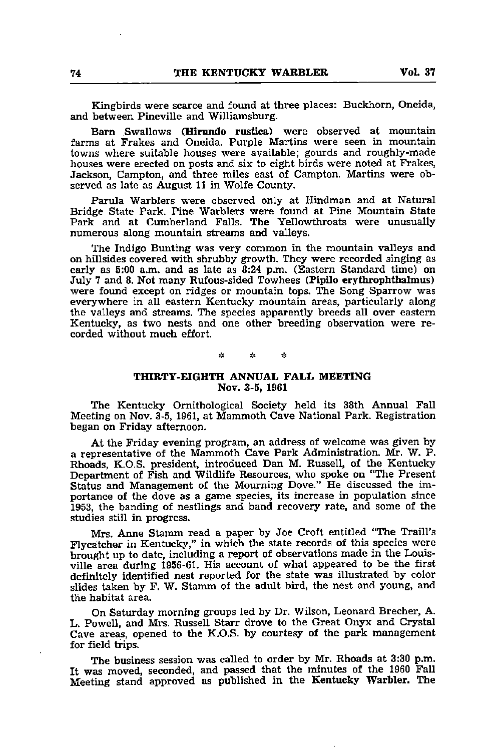Kingbirds were scarce and found at three places: Buckhorn, Oneida, and between Pineville and Williamsburg.

Barn Swallows (Hirundo rustica) were observed at mountain farms at Frakes and Oneida. Purple Martins were seen in mountain towns where suitable houses were available; gourds and roughly-made houses were erected on posts and six to eight birds were noted at Frakes, Jackson, Campton, and three miles east of Campton. Martins were ob served as late as August 11 in Wolfe County.

Parula Warblers were observed only at Hindman and at Natural Bridge State Park. Pine Warblers were found at Pine Mountain State Park and at Cumberland Falls. The Yellowthroats were unusually numerous along mountain streams and valleys.

The Indigo Bunting was very common in the mountain valleys and on hillsides covered with shrubby growth. They were recorded singing as early as 5:00 a.m. and as late as 8:24 p.m. (Eastern Standard time) on July 7 and 8. Not many Rufous-sided Towhees (Pipilo erythrophthalmus) were found except on ridges or mountain tops. The Song Sparrow was everywhere in all eastern Kentucky mountain areas, particularly along the valleys and streams. The species apparently breeds all over eastern Kentucky, as two nests and one other breeding observation were re corded without much effort.

> $\mathcal{L}$  $\mathcal{L}_{\mathcal{L}}$  $\mathcal{L}_\mathcal{A}$

# THIRTY-EIGHTH ANNUAL FALL MEETING Nov. 3-5, 1961

The Kentucky Ornithological Society held its 38th Annual Fall Meeting on Nov. 3-5, 1961, at Mammoth Cave National Park. Registration began on Friday afternoon.

At the Friday evening program, an address of welcome was given by a representative of the Mammoth Cave Park Administration. Mr. W. P. Rhoads, K.O.S. president, introduced Dan M. Russell, of the Kentucky Department of Fish and Wildlife Resources, who spoke on "The Present Status and Management of the Mourning Dove." He discussed the im portance of the dove as a game species, its increase in population since 1953, the banding of nestlings and band recovery rate, and some of the studies still in progress.

Mrs. Anne Stamm read a paper by Joe Croft entitled "The Traill's Flycatcher in Kentucky," in which the state records of this species were brought up to date, including a report of observations made in the Louis ville area during 1956-61. His account of what appeared to be the first definitely identified nest reported for the state was illustrated by color slides taken by F. W. Stamm of the adult bird, the nest and young, and the habitat area.

On Saturday morning groups led by Dr. Wilson, Leonard Brecher, A. L. Powell, and Mrs. Russell Starr drove to the Great Onyx and Crystal Cave areas, opened to the K.O.S. by courtesy of the park management for field trips.

The business session was called to order by Mr. Rhoads at 3:30 p.m. It was moved, seconded, and passed that the minutes of the 1960 Fall Meeting stand approved as published in the Kentucky Warbler. The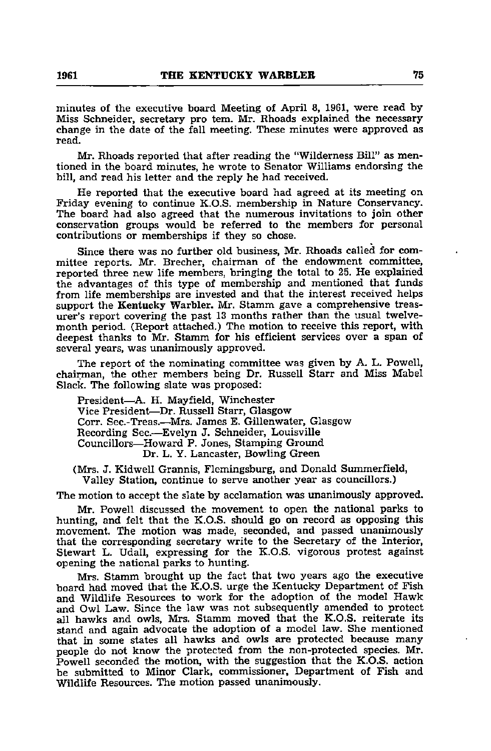minutes of the executive board Meeting of April 8, 1961, were read by Miss Schneider, secretary pro tem. Mr. Rhoads explained the necessary change in the date of the fall meeting. These minutes were approved as read.

Mr. Rhoads reported that after reading the "Wilderness Bill" as men tioned in the board minutes, he wrote to Senator Williams endorsing the bill, and read his letter and the reply he had received.

He reported that the executive board had agreed at its meeting on Friday evening to continue K.O.S. membership in Nature Conservancy. The board had also agreed that the numerous invitations to join other conservation groups would be referred to the members for personal contributions or memberships if they so chose.

Since there was no further old business, Mr. Rhoads called for com mittee reports. Mr. Brecher, chairman of the endowment committee, reported three new life members, bringing the total to 25. He explained the advantages of this type of membership and mentioned that funds from life memberships are invested and that the interest received helps support the Kentucky Warbler. Mr. Stamm gave a comprehensive treasurer's report covering the past 13 months rather than the usual twelve month period. (Report attached.) The motion to receive this report, with deepest thanks to Mr. Stamm for his efficient services over a span of several years, was unanimously approved.

The report of the nominating committee was given by A. L. Powell, chairman, the other members being Dr. Russell Starr and Miss Mabel Slack. The following slate was proposed:

President—A. H. Mayfield, Winchester Vice President—Dr. Russell Starr, Glasgow Corr. Sec.-Treas.—^Mrs. James E. Gillenwater, Glasgow Recording Sec.—Evelyn J. Schneider, Louisville Councillors—Howard P. Jones, Stamping Ground Dr. L. Y. Lancaster, Bowling Green

(Mrs. J. Kidwell Grannis, Flemingsburg, and Donald Summerfield, Valley Station, continue to serve another year as councillors.)

The motion to accept the slate by acclamation was unanimously approved.

Mr. Powell discussed the movement to open the national parks to hunting, and felt that the K.O.S. should go on record as opposing this movement. The motion was made, seconded, and passed unanimously that the corresponding secretary write to the Secretary of the Interior, Stewart L. Udall, expressing for the K.O.S. vigorous protest against opening the national parks to hunting.

Mrs. Stamm brought up the fact that two years ago the executive board had moved that the K.O.S. urge the Kentucky Department of Fish and Wildlife Resources to work for the adoption of the model Hawk and Owl Law. Since the law was not subsequently amended to protect all hawks and owls, Mrs. Stamm moved that the K.O.S. reiterate its stand and again advocate the adoption of a model law. She mentioned that in some states all hawks and owls are protected because many people do not know the protected from the non-protected species. Mr. Powell seconded the motion, with the suggestion that the K.O.S. action be submitted to Minor Clark, commissioner. Department of Fish and Wildlife Resources. The motion passed unanimously.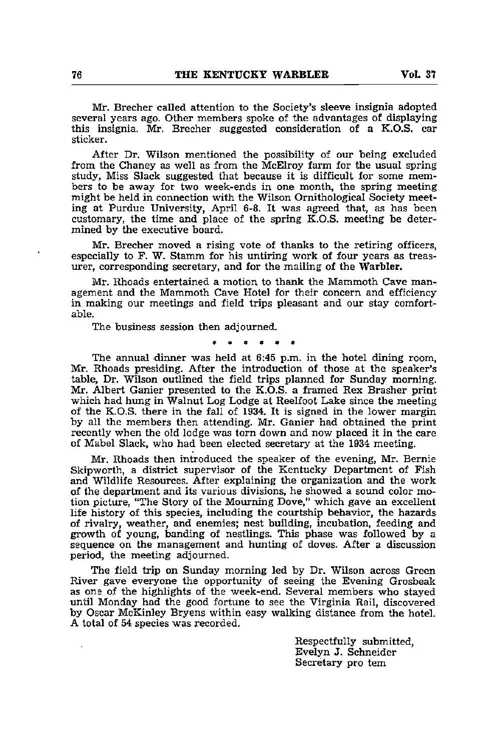Mr. Brecher called attention to the Society's sleeve insignia adopted several years ago. Other members spoke of the advantages of displaying this insignia. Mr. Brecher suggested consideration of a K.O.S. car sticker.

After Dr. Wilson mentioned the possibility of our being excluded from the Chaney as well as from the McElroy farm for the usual spring study, Miss Slack suggested that because it is difficult for some mem bers to be away for two week-ends in one month, the spring meeting might be held in connection with the Wilson Ornithological Society meet ing at Purdue University, April 6-8. It was agreed that, as has been customary, the time and place of the spring K.O.S. meeting be deter mined by the executive board.

Mr. Brecher moved a rising vote of thanks to the retiring officers, especially to F. W. Stamm for his untiring work of four years as treas urer, corresponding secretary, and for the mailing of the Warbler.

Mr. Rhoads entertained <sup>a</sup> motion to thank the Mammoth Cave man agement and the Mammoth Cave Hotel for their concern and efficiency in making our meetings and field trips pleasant and our stay comfort able.

The business session then adjourned.

The annual dinner was held at 6:45 p.m. in the hotel dining room, Mr. Rhoads presiding. After the introduction of those at the speaker's table, Dr. Wilson outlined the field trips planned for Sunday morning. Mr. Albert Ganier presented to the K.O.S. a framed Rex Brasher print which had hung in Walnut Log Lodge at Reelfoot Lake since the meeting of the K.O.S. there in the fall of 1934. It is signed in the lower margin by all the members then attending. Mr. Ganier had obtained the print recently when the old lodge was torn down and now placed it in the care of Mabel Slack, who had been elected secretary at the 1934 meeting.

Mr. Rhoads then introduced the speaker of the evening, Mr. Bernie Skipworth, a district supervisor of the Kentucky Department of Fish and Wildlife Resources. After explaining the organization and the work of the department and its various divisions, he showed a sound color motion picture, "The Story of the Mourning Dove," which gave an excellent life history of this species, including the courtship behavior, the hazards of rivalry, weather, and enemies; nest building, incubation, feeding and growth of young, banding of nestlings. This phase was followed by a sequence on the management and hunting of doves. After a discussion period, the meeting adjourned.

The field trip on Sunday morning led by Dr. Wilson across Green River gave everyone the opportunity of seeing the Evening Grosbeak as one of the highlights of the week-end. Several members who stayed until Monday had the good fortune to see the Virginia Rail, discovered by Oscar McKinley Bryens within easy walking distance from the hotel. A total of 54 species was recorded.

> Respectfully submitted, Evelyn J. Schneider Secretary pro tem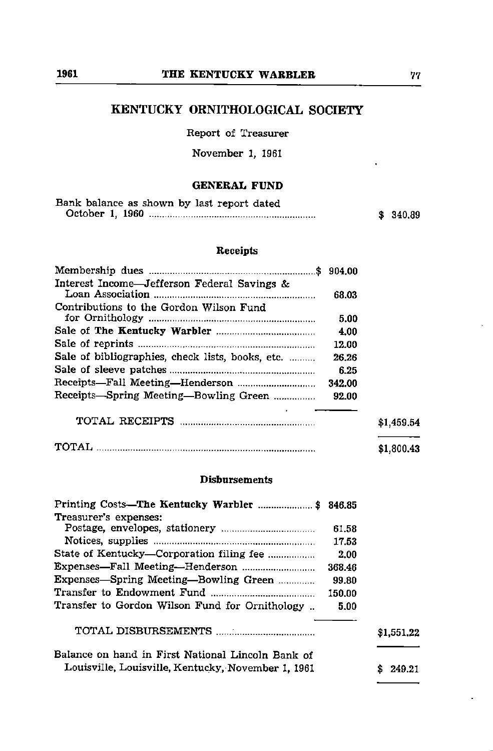# KENTUCKY ORNITHOLOGICAL SOCIETY

Report of Treasurer

November 1, 1961

# GENERAL FUND

| Bank balance as shown by last report dated |          |
|--------------------------------------------|----------|
|                                            | \$340.89 |

# Receipts

| Interest Income-Jefferson Federal Savings &      | 68.03  |            |
|--------------------------------------------------|--------|------------|
| Contributions to the Gordon Wilson Fund          |        |            |
|                                                  | 5.00   |            |
|                                                  | 4.00   |            |
|                                                  | 12.00  |            |
| Sale of bibliographies, check lists, books, etc. | 26.26  |            |
|                                                  | 6.25   |            |
|                                                  | 342.00 |            |
| Receipts-Spring Meeting-Bowling Green            | 92.00  |            |
|                                                  |        | \$1,459.54 |
|                                                  |        | \$1,800.43 |

# Disbursements

| Printing Costs-The Kentucky Warbler  \$ 846.85     |        |            |
|----------------------------------------------------|--------|------------|
| Treasurer's expenses:                              |        |            |
|                                                    | 61.58  |            |
|                                                    | 17.53  |            |
|                                                    | 2.00   |            |
|                                                    | 368.46 |            |
| Expenses-Spring Meeting-Bowling Green              | 99.80  |            |
|                                                    | 150.00 |            |
| Transfer to Gordon Wilson Fund for Ornithology     | 5.00   |            |
|                                                    |        | \$1,551.22 |
| Balance on hand in First National Lincoln Bank of  |        |            |
| Louisville, Louisville, Kentucky, November 1, 1961 |        | 249.21     |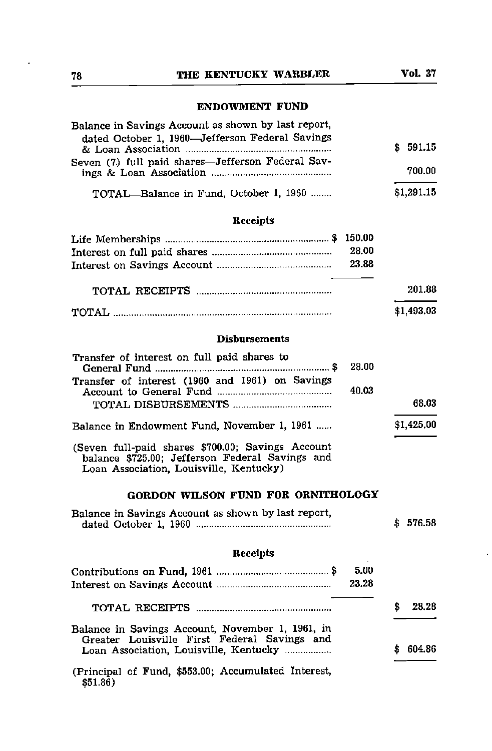# 78 THE KENTUCKY WARBLER Vol. 37

# ENDOWMENT FUND

|            | Balance in Savings Account as shown by last report, |
|------------|-----------------------------------------------------|
| \$591.15   | dated October 1, 1960-Jefferson Federal Savings     |
| 700.00     | Seven (7) full paid shares—Jefferson Federal Sav-   |
| \$1.291.15 | TOTAL-Balance in Fund, October 1, 1960              |

# Receipts

| 28.00 |            |
|-------|------------|
| 23.88 |            |
|       | 201.88     |
|       |            |
|       | \$1,493.03 |

# Disbursements

| Transfer of interest on full paid shares to<br>28.00                                                                                            |              |
|-------------------------------------------------------------------------------------------------------------------------------------------------|--------------|
| Transfer of interest (1960 and 1961) on Savings<br>40.03                                                                                        |              |
|                                                                                                                                                 | 68.03        |
| Balance in Endowment Fund, November 1, 1961                                                                                                     | \$1,425.00   |
| (Seven full-paid shares \$700.00; Savings Account<br>balance \$725.00; Jefferson Federal Savings and<br>Loan Association, Louisville, Kentucky) |              |
| GORDON WILSON FUND FOR ORNITHOLOGY                                                                                                              |              |
| Balance in Savings Account as shown by last report,                                                                                             | \$<br>576.58 |
| Receipts                                                                                                                                        |              |
| 5.00<br>23.28                                                                                                                                   |              |
|                                                                                                                                                 | 28.28<br>\$  |
| Balance in Savings Account, November 1, 1961, in<br>Greater Louisville First Federal Savings and                                                |              |

(Principal of Fund, \$553.00; Accumulated Interest, \$51.86)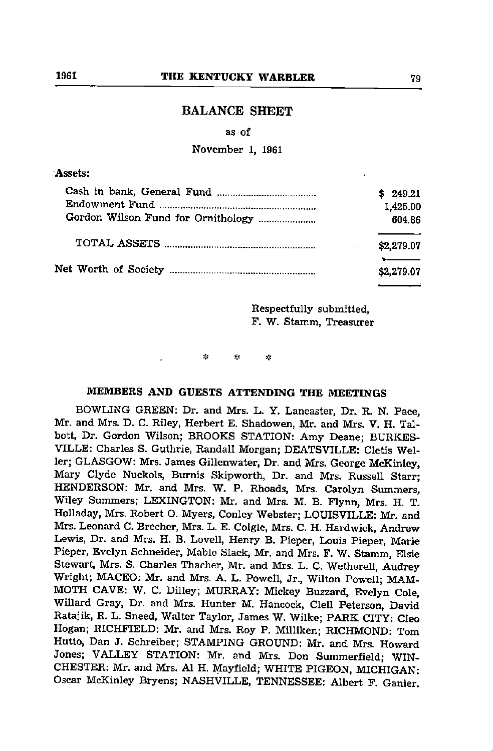# BALANCE SHEET

# as of

November 1, 1961

# Assets:

|                                    | \$249.21   |
|------------------------------------|------------|
|                                    | 1,425.00   |
| Gordon Wilson Fund for Ornithology | 604.86     |
|                                    | \$2,279.07 |
|                                    | \$2,279.07 |

Respectfully submitted, F. W. Stamm, Treasurer

 $\mathcal{A}_\mathbf{S}$ Y. χķ

# MEMBERS AND GUESTS ATTENDING THE MEETINGS

BOWLING GREEN; Dr. and Mrs. L. Y. Lancaster, Dr. R. N. Pace, Mr. and Mrs. D. C. Riley, Herbert E. Shadowen, Mr. and Mrs. V. H. Talbott, Dr. Gordon Wilson; BROOKS STATION: Amy Deane; BURKES-VILLE: Charles S. Guthrie, Randall Morgan; DEATSVILLE: Cletis Weller; GLASGOW: Mrs. James Gillenwater, Dr. and Mrs. George McKinley, Mary Clyde Nuckols, Burnis Skipworth, Dr. and Mrs. Russell Starr; HENDERSON: Mr. and Mrs. W. P. Rhoads, Mrs. Carolyn Summers, Wiley Summers; LEXINGTON: Mr. and Mrs. M. B. Flynn, Mrs. H, T. Holladay, Mrs. Robert O. Myers, Conley Webster; LOUISVILLE: Mr. and Mrs. Leonard C. Brecher, Mrs. L. E. Colgle, Mrs. C. H. Hardwick, Andrew Lewis, Dr. and Mrs. H. B. Lovell, Henry B. Pieper, Louis Pieper, Marie Pieper, Evelyn Schneider, Mable Slack, Mr. and Mrs. F. W. Stamm, Elsie Stewart, Mrs. S. Charles Thacher, Mr. and Mrs. L. C. Wetherell, Audrey Wright; MACEO: Mr. and Mrs. A. L. Powell, Jr., Wilton Powell; MAM MOTH CAVE: W. C. Dilley; MURRAY: Mickey Buzzard, Evelyn Cole, Willard Gray, Dr. and Mrs. Hunter M. Hancock, Clell Peterson, David Ratajik, R. L. Sneed, Walter Taylor, James W. Wilke; PARK CITY: Cleo Hogan; RICHFIELD: Mr. and Mrs. Roy P. Milliken; RICHMOND: Tom Hutto, Dan J. Schreiber; STAMPING GROUND: Mr. and Mrs. Howard Jones; VALLEY STATION: Mr. and Mrs. Don Summerfield; WIN CHESTER: Mr. and Mrs. A1 H. Mayfield; WHITE PIGEON, MICHIGAN: Oscar McKinley Bryens; NASHVILLE, TENNESSEE: Albert F. Ganier.